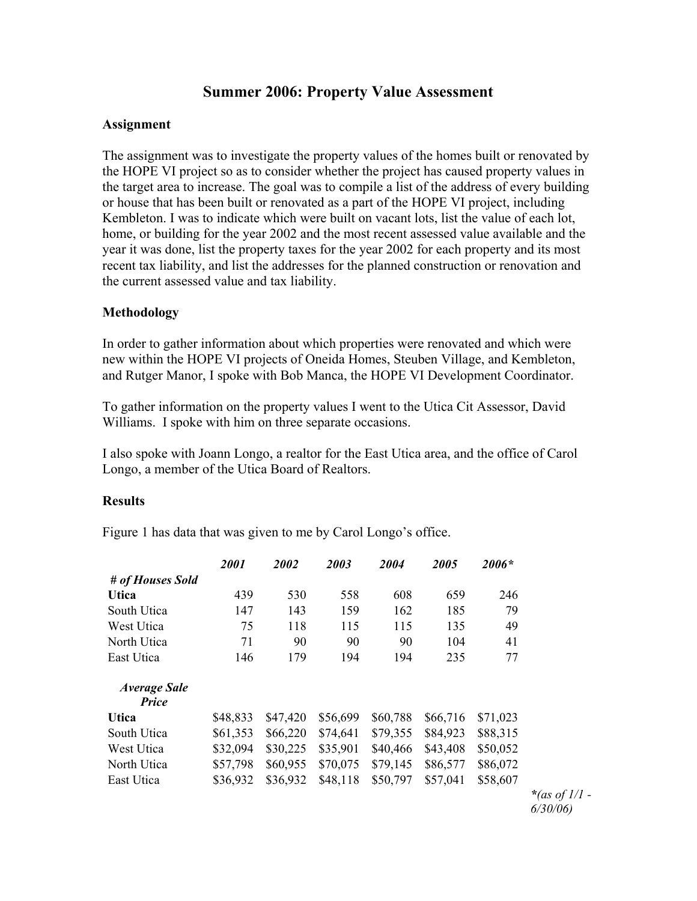## **Summer 2006: Property Value Assessment**

#### **Assignment**

The assignment was to investigate the property values of the homes built or renovated by the HOPE VI project so as to consider whether the project has caused property values in the target area to increase. The goal was to compile a list of the address of every building or house that has been built or renovated as a part of the HOPE VI project, including Kembleton. I was to indicate which were built on vacant lots, list the value of each lot, home, or building for the year 2002 and the most recent assessed value available and the year it was done, list the property taxes for the year 2002 for each property and its most recent tax liability, and list the addresses for the planned construction or renovation and the current assessed value and tax liability.

### **Methodology**

In order to gather information about which properties were renovated and which were new within the HOPE VI projects of Oneida Homes, Steuben Village, and Kembleton, and Rutger Manor, I spoke with Bob Manca, the HOPE VI Development Coordinator.

To gather information on the property values I went to the Utica Cit Assessor, David Williams. I spoke with him on three separate occasions.

I also spoke with Joann Longo, a realtor for the East Utica area, and the office of Carol Longo, a member of the Utica Board of Realtors.

### **Results**

Figure 1 has data that was given to me by Carol Longo's office.

|                              | 2001     | 2002     | 2003     | 2004     | 2005     | 2006*    |
|------------------------------|----------|----------|----------|----------|----------|----------|
| # of Houses Sold             |          |          |          |          |          |          |
| <b>Utica</b>                 | 439      | 530      | 558      | 608      | 659      | 246      |
| South Utica                  | 147      | 143      | 159      | 162      | 185      | 79       |
| West Utica                   | 75       | 118      | 115      | 115      | 135      | 49       |
| North Utica                  | 71       | 90       | 90       | 90       | 104      | 41       |
| East Utica                   | 146      | 179      | 194      | 194      | 235      | 77       |
| <b>Average Sale</b><br>Price |          |          |          |          |          |          |
| <b>Utica</b>                 | \$48,833 | \$47,420 | \$56,699 | \$60,788 | \$66,716 | \$71,023 |
| South Utica                  | \$61,353 | \$66,220 | \$74,641 | \$79,355 | \$84,923 | \$88,315 |
| West Utica                   | \$32,094 | \$30,225 | \$35,901 | \$40,466 | \$43,408 | \$50,052 |
| North Utica                  | \$57,798 | \$60,955 | \$70,075 | \$79,145 | \$86,577 | \$86,072 |
| East Utica                   | \$36,932 | \$36,932 | \$48,118 | \$50,797 | \$57,041 | \$58,607 |

*\*(as of 1/1 - 6/30/06)*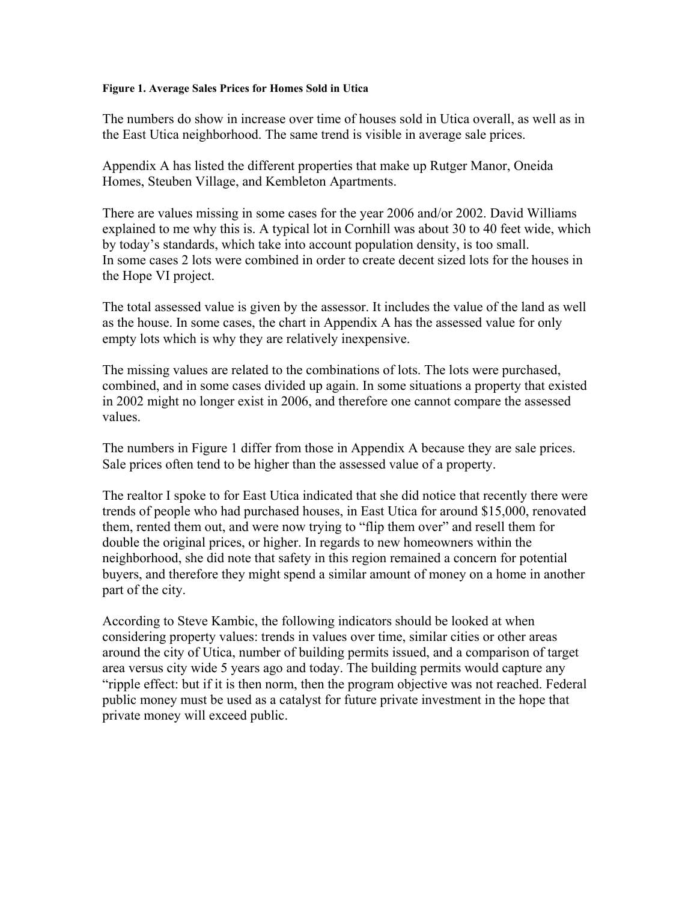#### **Figure 1. Average Sales Prices for Homes Sold in Utica**

The numbers do show in increase over time of houses sold in Utica overall, as well as in the East Utica neighborhood. The same trend is visible in average sale prices.

Appendix A has listed the different properties that make up Rutger Manor, Oneida Homes, Steuben Village, and Kembleton Apartments.

There are values missing in some cases for the year 2006 and/or 2002. David Williams explained to me why this is. A typical lot in Cornhill was about 30 to 40 feet wide, which by today's standards, which take into account population density, is too small. In some cases 2 lots were combined in order to create decent sized lots for the houses in the Hope VI project.

The total assessed value is given by the assessor. It includes the value of the land as well as the house. In some cases, the chart in Appendix A has the assessed value for only empty lots which is why they are relatively inexpensive.

The missing values are related to the combinations of lots. The lots were purchased, combined, and in some cases divided up again. In some situations a property that existed in 2002 might no longer exist in 2006, and therefore one cannot compare the assessed values.

The numbers in Figure 1 differ from those in Appendix A because they are sale prices. Sale prices often tend to be higher than the assessed value of a property.

The realtor I spoke to for East Utica indicated that she did notice that recently there were trends of people who had purchased houses, in East Utica for around \$15,000, renovated them, rented them out, and were now trying to "flip them over" and resell them for double the original prices, or higher. In regards to new homeowners within the neighborhood, she did note that safety in this region remained a concern for potential buyers, and therefore they might spend a similar amount of money on a home in another part of the city.

According to Steve Kambic, the following indicators should be looked at when considering property values: trends in values over time, similar cities or other areas around the city of Utica, number of building permits issued, and a comparison of target area versus city wide 5 years ago and today. The building permits would capture any "ripple effect: but if it is then norm, then the program objective was not reached. Federal public money must be used as a catalyst for future private investment in the hope that private money will exceed public.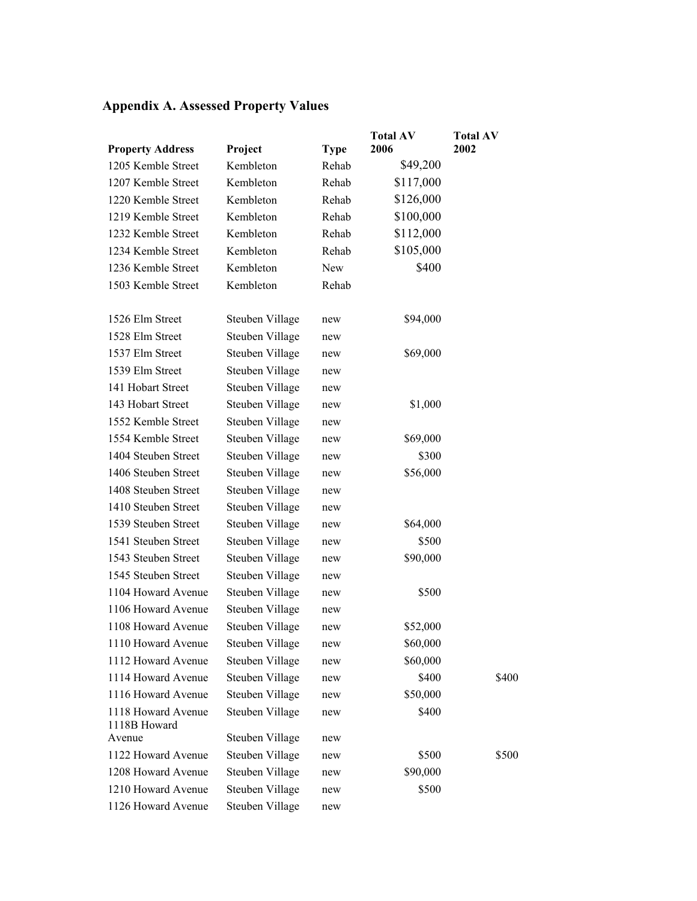# **Appendix A. Assessed Property Values**

|                                    |                 |             | <b>Total AV</b> | <b>Total AV</b> |
|------------------------------------|-----------------|-------------|-----------------|-----------------|
| <b>Property Address</b>            | Project         | <b>Type</b> | 2006            | 2002            |
| 1205 Kemble Street                 | Kembleton       | Rehab       | \$49,200        |                 |
| 1207 Kemble Street                 | Kembleton       | Rehab       | \$117,000       |                 |
| 1220 Kemble Street                 | Kembleton       | Rehab       | \$126,000       |                 |
| 1219 Kemble Street                 | Kembleton       | Rehab       | \$100,000       |                 |
| 1232 Kemble Street                 | Kembleton       | Rehab       | \$112,000       |                 |
| 1234 Kemble Street                 | Kembleton       | Rehab       | \$105,000       |                 |
| 1236 Kemble Street                 | Kembleton       | New         | \$400           |                 |
| 1503 Kemble Street                 | Kembleton       | Rehab       |                 |                 |
|                                    |                 |             |                 |                 |
| 1526 Elm Street                    | Steuben Village | new         | \$94,000        |                 |
| 1528 Elm Street                    | Steuben Village | new         |                 |                 |
| 1537 Elm Street                    | Steuben Village | new         | \$69,000        |                 |
| 1539 Elm Street                    | Steuben Village | new         |                 |                 |
| 141 Hobart Street                  | Steuben Village | new         |                 |                 |
| 143 Hobart Street                  | Steuben Village | new         | \$1,000         |                 |
| 1552 Kemble Street                 | Steuben Village | new         |                 |                 |
| 1554 Kemble Street                 | Steuben Village | new         | \$69,000        |                 |
| 1404 Steuben Street                | Steuben Village | new         | \$300           |                 |
| 1406 Steuben Street                | Steuben Village | new         | \$56,000        |                 |
| 1408 Steuben Street                | Steuben Village | new         |                 |                 |
| 1410 Steuben Street                | Steuben Village | new         |                 |                 |
| 1539 Steuben Street                | Steuben Village | new         | \$64,000        |                 |
| 1541 Steuben Street                | Steuben Village | new         | \$500           |                 |
| 1543 Steuben Street                | Steuben Village | new         | \$90,000        |                 |
| 1545 Steuben Street                | Steuben Village | new         |                 |                 |
| 1104 Howard Avenue                 | Steuben Village | new         | \$500           |                 |
| 1106 Howard Avenue                 | Steuben Village | new         |                 |                 |
| 1108 Howard Avenue                 | Steuben Village | new         | \$52,000        |                 |
| 1110 Howard Avenue                 | Steuben Village | new         | \$60,000        |                 |
| 1112 Howard Avenue                 | Steuben Village | new         | \$60,000        |                 |
| 1114 Howard Avenue                 | Steuben Village | new         | \$400           | \$400           |
| 1116 Howard Avenue                 | Steuben Village | new         | \$50,000        |                 |
| 1118 Howard Avenue<br>1118B Howard | Steuben Village | new         | \$400           |                 |
| Avenue                             | Steuben Village | new         |                 |                 |
| 1122 Howard Avenue                 | Steuben Village | new         | \$500           | \$500           |
| 1208 Howard Avenue                 | Steuben Village | new         | \$90,000        |                 |
| 1210 Howard Avenue                 | Steuben Village | new         | \$500           |                 |
| 1126 Howard Avenue                 | Steuben Village | new         |                 |                 |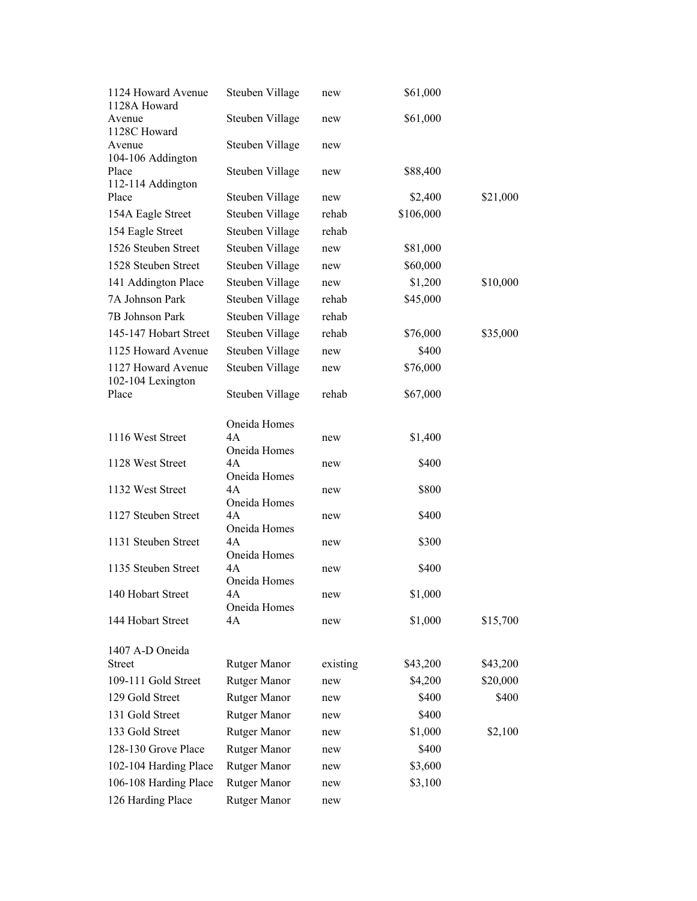| \$21,000 |
|----------|
|          |
|          |
|          |
|          |
| \$10,000 |
|          |
|          |
| \$35,000 |
|          |
|          |
|          |
|          |
|          |
|          |
|          |
|          |
|          |
|          |
|          |
|          |
|          |
|          |
|          |
| \$15,700 |
|          |
| \$43,200 |
| \$20,000 |
| \$400    |
|          |
| \$2,100  |
|          |
|          |
|          |
|          |
|          |